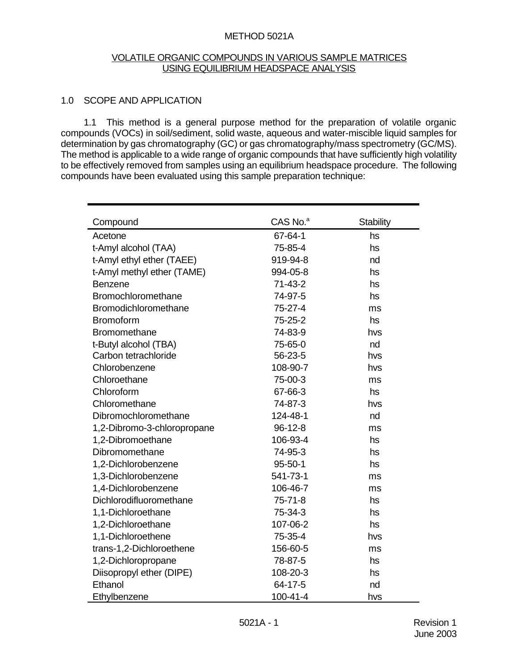#### METHOD 5021A

#### VOLATILE ORGANIC COMPOUNDS IN VARIOUS SAMPLE MATRICES USING EQUILIBRIUM HEADSPACE ANALYSIS

#### 1.0 SCOPE AND APPLICATION

1.1 This method is a general purpose method for the preparation of volatile organic compounds (VOCs) in soil/sediment, solid waste, aqueous and water-miscible liquid samples for determination by gas chromatography (GC) or gas chromatography/mass spectrometry (GC/MS). The method is applicable to a wide range of organic compounds that have sufficiently high volatility to be effectively removed from samples using an equilibrium headspace procedure. The following compounds have been evaluated using this sample preparation technique:

| Compound                    | $CAS$ No. $a$ | <b>Stability</b> |
|-----------------------------|---------------|------------------|
| Acetone                     | 67-64-1       | hs               |
| t-Amyl alcohol (TAA)        | 75-85-4       | hs               |
| t-Amyl ethyl ether (TAEE)   | 919-94-8      | nd               |
| t-Amyl methyl ether (TAME)  | 994-05-8      | hs               |
| <b>Benzene</b>              | $71-43-2$     | hs               |
| Bromochloromethane          | 74-97-5       | hs               |
| Bromodichloromethane        | $75 - 27 - 4$ | ms               |
| <b>Bromoform</b>            | 75-25-2       | hs               |
| <b>Bromomethane</b>         | 74-83-9       | hvs              |
| t-Butyl alcohol (TBA)       | 75-65-0       | nd               |
| Carbon tetrachloride        | 56-23-5       | hvs              |
| Chlorobenzene               | 108-90-7      | hvs              |
| Chloroethane                | 75-00-3       | ms               |
| Chloroform                  | 67-66-3       | hs               |
| Chloromethane               | 74-87-3       | hvs              |
| Dibromochloromethane        | 124-48-1      | nd               |
| 1,2-Dibromo-3-chloropropane | $96-12-8$     | ms               |
| 1,2-Dibromoethane           | 106-93-4      | hs               |
| Dibromomethane              | 74-95-3       | hs               |
| 1,2-Dichlorobenzene         | $95 - 50 - 1$ | hs               |
| 1,3-Dichlorobenzene         | 541-73-1      | ms               |
| 1,4-Dichlorobenzene         | 106-46-7      | ms               |
| Dichlorodifluoromethane     | $75 - 71 - 8$ | hs               |
| 1,1-Dichloroethane          | 75-34-3       | hs               |
| 1,2-Dichloroethane          | 107-06-2      | hs               |
| 1,1-Dichloroethene          | 75-35-4       | hvs              |
| trans-1,2-Dichloroethene    | 156-60-5      | ms               |
| 1,2-Dichloropropane         | 78-87-5       | hs               |
| Diisopropyl ether (DIPE)    | 108-20-3      | hs               |
| Ethanol                     | 64-17-5       | nd               |
| Ethylbenzene                | 100-41-4      | hvs              |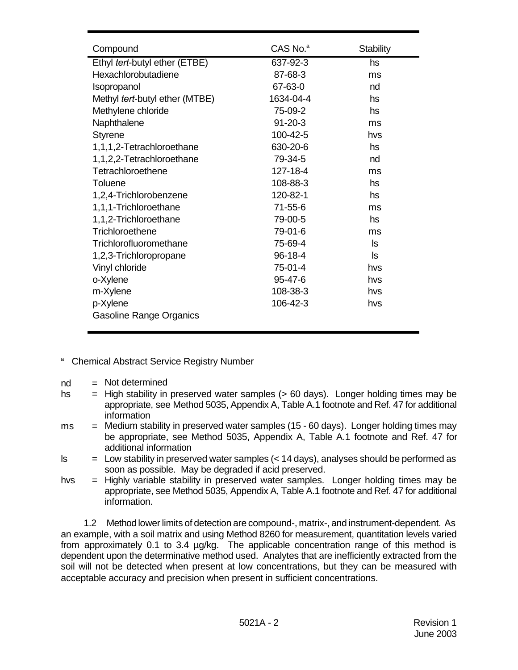| Compound                       | CAS No. <sup>a</sup> | <b>Stability</b> |
|--------------------------------|----------------------|------------------|
| Ethyl tert-butyl ether (ETBE)  | 637-92-3             | hs               |
| Hexachlorobutadiene            | 87-68-3              | ms               |
| Isopropanol                    | 67-63-0              | nd               |
| Methyl tert-butyl ether (MTBE) | 1634-04-4            | hs               |
| Methylene chloride             | 75-09-2              | hs               |
| Naphthalene                    | $91 - 20 - 3$        | ms               |
| <b>Styrene</b>                 | 100-42-5             | hvs              |
| 1,1,1,2-Tetrachloroethane      | 630-20-6             | hs               |
| 1,1,2,2-Tetrachloroethane      | 79-34-5              | nd               |
| Tetrachloroethene              | 127-18-4             | ms               |
| Toluene                        | 108-88-3             | hs               |
| 1,2,4-Trichlorobenzene         | 120-82-1             | hs               |
| 1,1,1-Trichloroethane          | 71-55-6              | ms               |
| 1,1,2-Trichloroethane          | 79-00-5              | hs               |
| Trichloroethene                | 79-01-6              | ms               |
| Trichlorofluoromethane         | 75-69-4              | ls.              |
| 1,2,3-Trichloropropane         | 96-18-4              | ls.              |
| Vinyl chloride                 | 75-01-4              | hvs              |
| o-Xylene                       | 95-47-6              | hvs              |
| m-Xylene                       | 108-38-3             | hvs              |
| p-Xylene                       | 106-42-3             | hvs              |
| <b>Gasoline Range Organics</b> |                      |                  |
|                                |                      |                  |

- <sup>a</sup> Chemical Abstract Service Registry Number
- $nd = Not determined$
- hs  $=$  High stability in preserved water samples ( $> 60$  days). Longer holding times may be appropriate, see Method 5035, Appendix A, Table A.1 footnote and Ref. 47 for additional information
- $ms =$  Medium stability in preserved water samples (15 60 days). Longer holding times may be appropriate, see Method 5035, Appendix A, Table A.1 footnote and Ref. 47 for additional information
- $\leq$  = Low stability in preserved water samples ( $\lt$  14 days), analyses should be performed as soon as possible. May be degraded if acid preserved.
- hvs = Highly variable stability in preserved water samples. Longer holding times may be appropriate, see Method 5035, Appendix A, Table A.1 footnote and Ref. 47 for additional information.

1.2 Method lower limits of detection are compound-, matrix-, and instrument-dependent. As an example, with a soil matrix and using Method 8260 for measurement, quantitation levels varied from approximately 0.1 to 3.4 µg/kg. The applicable concentration range of this method is dependent upon the determinative method used. Analytes that are inefficiently extracted from the soil will not be detected when present at low concentrations, but they can be measured with acceptable accuracy and precision when present in sufficient concentrations.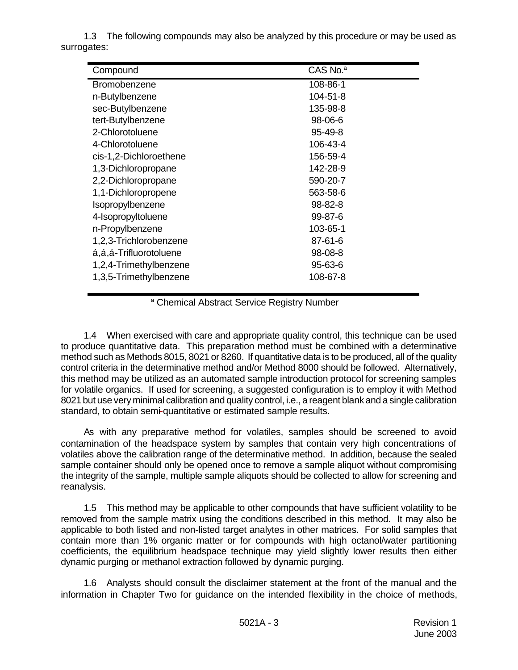1.3 The following compounds may also be analyzed by this procedure or may be used as surrogates:

| Compound               | CAS No. <sup>a</sup> |
|------------------------|----------------------|
| Bromobenzene           | 108-86-1             |
| n-Butylbenzene         | 104-51-8             |
| sec-Butylbenzene       | 135-98-8             |
| tert-Butylbenzene      | 98-06-6              |
| 2-Chlorotoluene        | $95 - 49 - 8$        |
| 4-Chlorotoluene        | 106-43-4             |
| cis-1,2-Dichloroethene | 156-59-4             |
| 1,3-Dichloropropane    | 142-28-9             |
| 2,2-Dichloropropane    | 590-20-7             |
| 1,1-Dichloropropene    | 563-58-6             |
| Isopropylbenzene       | 98-82-8              |
| 4-Isopropyltoluene     | 99-87-6              |
| n-Propylbenzene        | 103-65-1             |
| 1,2,3-Trichlorobenzene | 87-61-6              |
| á,á,á-Trifluorotoluene | 98-08-8              |
| 1,2,4-Trimethylbenzene | 95-63-6              |
| 1,3,5-Trimethylbenzene | 108-67-8             |

<sup>a</sup> Chemical Abstract Service Registry Number

1.4 When exercised with care and appropriate quality control, this technique can be used to produce quantitative data. This preparation method must be combined with a determinative method such as Methods 8015, 8021 or 8260. If quantitative data is to be produced, all of the quality control criteria in the determinative method and/or Method 8000 should be followed. Alternatively, this method may be utilized as an automated sample introduction protocol for screening samples for volatile organics. If used for screening, a suggested configuration is to employ it with Method 8021 but use very minimal calibration and quality control, i.e., a reagent blank and a single calibration standard, to obtain semi-quantitative or estimated sample results.

As with any preparative method for volatiles, samples should be screened to avoid contamination of the headspace system by samples that contain very high concentrations of volatiles above the calibration range of the determinative method. In addition, because the sealed sample container should only be opened once to remove a sample aliquot without compromising the integrity of the sample, multiple sample aliquots should be collected to allow for screening and reanalysis.

1.5 This method may be applicable to other compounds that have sufficient volatility to be removed from the sample matrix using the conditions described in this method. It may also be applicable to both listed and non-listed target analytes in other matrices. For solid samples that contain more than 1% organic matter or for compounds with high octanol/water partitioning coefficients, the equilibrium headspace technique may yield slightly lower results then either dynamic purging or methanol extraction followed by dynamic purging.

1.6 Analysts should consult the disclaimer statement at the front of the manual and the information in Chapter Two for guidance on the intended flexibility in the choice of methods,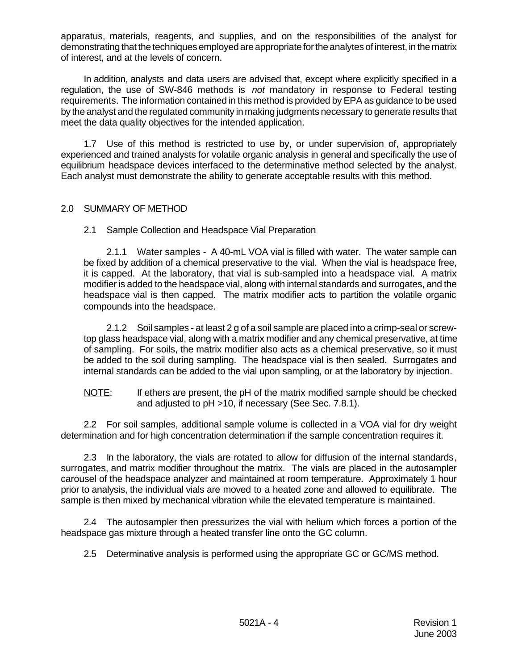apparatus, materials, reagents, and supplies, and on the responsibilities of the analyst for demonstrating that the techniques employed are appropriate for the analytes of interest, in the matrix of interest, and at the levels of concern.

In addition, analysts and data users are advised that, except where explicitly specified in a regulation, the use of SW-846 methods is *not* mandatory in response to Federal testing requirements. The information contained in this method is provided by EPA as guidance to be used by the analyst and the regulated community in making judgments necessary to generate results that meet the data quality objectives for the intended application.

1.7 Use of this method is restricted to use by, or under supervision of, appropriately experienced and trained analysts for volatile organic analysis in general and specifically the use of equilibrium headspace devices interfaced to the determinative method selected by the analyst. Each analyst must demonstrate the ability to generate acceptable results with this method.

#### 2.0 SUMMARY OF METHOD

2.1 Sample Collection and Headspace Vial Preparation

2.1.1 Water samples - A 40-mL VOA vial is filled with water. The water sample can be fixed by addition of a chemical preservative to the vial. When the vial is headspace free, it is capped. At the laboratory, that vial is sub-sampled into a headspace vial. A matrix modifier is added to the headspace vial, along with internal standards and surrogates, and the headspace vial is then capped. The matrix modifier acts to partition the volatile organic compounds into the headspace.

2.1.2 Soil samples - at least 2 g of a soil sample are placed into a crimp-seal or screwtop glass headspace vial, along with a matrix modifier and any chemical preservative, at time of sampling. For soils, the matrix modifier also acts as a chemical preservative, so it must be added to the soil during sampling. The headspace vial is then sealed. Surrogates and internal standards can be added to the vial upon sampling, or at the laboratory by injection.

NOTE: If ethers are present, the pH of the matrix modified sample should be checked and adjusted to pH >10, if necessary (See Sec. 7.8.1).

2.2 For soil samples, additional sample volume is collected in a VOA vial for dry weight determination and for high concentration determination if the sample concentration requires it.

2.3 In the laboratory, the vials are rotated to allow for diffusion of the internal standards, surrogates, and matrix modifier throughout the matrix. The vials are placed in the autosampler carousel of the headspace analyzer and maintained at room temperature. Approximately 1 hour prior to analysis, the individual vials are moved to a heated zone and allowed to equilibrate. The sample is then mixed by mechanical vibration while the elevated temperature is maintained.

2.4 The autosampler then pressurizes the vial with helium which forces a portion of the headspace gas mixture through a heated transfer line onto the GC column.

2.5 Determinative analysis is performed using the appropriate GC or GC/MS method.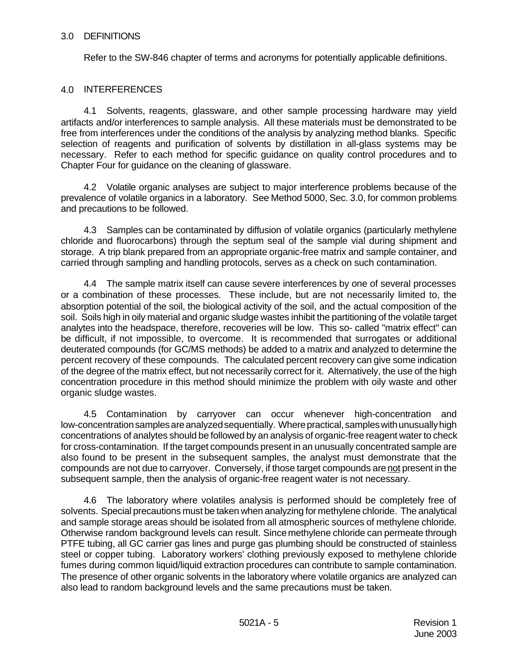#### 3.0 DEFINITIONS

Refer to the SW-846 chapter of terms and acronyms for potentially applicable definitions.

#### 4.0 INTERFERENCES

4.1 Solvents, reagents, glassware, and other sample processing hardware may yield artifacts and/or interferences to sample analysis. All these materials must be demonstrated to be free from interferences under the conditions of the analysis by analyzing method blanks. Specific selection of reagents and purification of solvents by distillation in all-glass systems may be necessary. Refer to each method for specific guidance on quality control procedures and to Chapter Four for guidance on the cleaning of glassware.

4.2 Volatile organic analyses are subject to major interference problems because of the prevalence of volatile organics in a laboratory. See Method 5000, Sec. 3.0, for common problems and precautions to be followed.

4.3 Samples can be contaminated by diffusion of volatile organics (particularly methylene chloride and fluorocarbons) through the septum seal of the sample vial during shipment and storage. A trip blank prepared from an appropriate organic-free matrix and sample container, and carried through sampling and handling protocols, serves as a check on such contamination.

4.4 The sample matrix itself can cause severe interferences by one of several processes or a combination of these processes. These include, but are not necessarily limited to, the absorption potential of the soil, the biological activity of the soil, and the actual composition of the soil. Soils high in oily material and organic sludge wastes inhibit the partitioning of the volatile target analytes into the headspace, therefore, recoveries will be low. This so- called "matrix effect" can be difficult, if not impossible, to overcome. It is recommended that surrogates or additional deuterated compounds (for GC/MS methods) be added to a matrix and analyzed to determine the percent recovery of these compounds. The calculated percent recovery can give some indication of the degree of the matrix effect, but not necessarily correct for it. Alternatively, the use of the high concentration procedure in this method should minimize the problem with oily waste and other organic sludge wastes.

4.5 Contamination by carryover can occur whenever high-concentration and low-concentration samples are analyzed sequentially. Where practical, samples with unusually high concentrations of analytes should be followed by an analysis of organic-free reagent water to check for cross-contamination. If the target compounds present in an unusually concentrated sample are also found to be present in the subsequent samples, the analyst must demonstrate that the compounds are not due to carryover. Conversely, if those target compounds are not present in the subsequent sample, then the analysis of organic-free reagent water is not necessary.

4.6 The laboratory where volatiles analysis is performed should be completely free of solvents. Special precautions must be taken when analyzing for methylene chloride. The analytical and sample storage areas should be isolated from all atmospheric sources of methylene chloride. Otherwise random background levels can result. Since methylene chloride can permeate through PTFE tubing, all GC carrier gas lines and purge gas plumbing should be constructed of stainless steel or copper tubing. Laboratory workers' clothing previously exposed to methylene chloride fumes during common liquid/liquid extraction procedures can contribute to sample contamination. The presence of other organic solvents in the laboratory where volatile organics are analyzed can also lead to random background levels and the same precautions must be taken.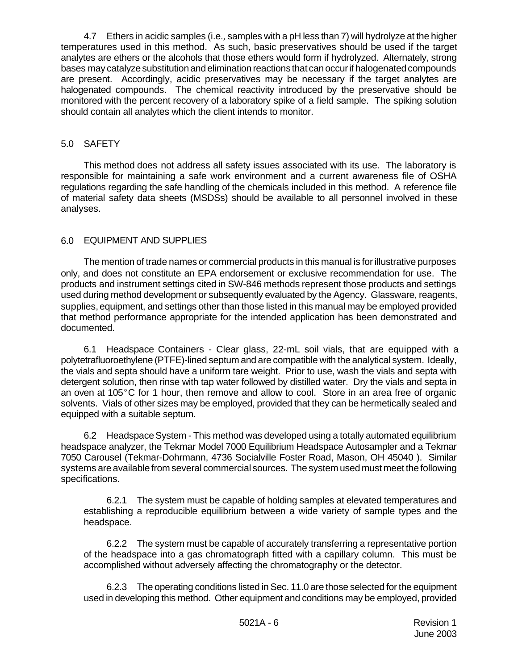4.7 Ethers in acidic samples (i.e*.,* samples with a pH less than 7) will hydrolyze at the higher temperatures used in this method. As such, basic preservatives should be used if the target analytes are ethers or the alcohols that those ethers would form if hydrolyzed. Alternately, strong bases may catalyze substitution and elimination reactions that can occur if halogenated compounds are present. Accordingly, acidic preservatives may be necessary if the target analytes are halogenated compounds. The chemical reactivity introduced by the preservative should be monitored with the percent recovery of a laboratory spike of a field sample. The spiking solution should contain all analytes which the client intends to monitor.

# 5.0 SAFETY

This method does not address all safety issues associated with its use. The laboratory is responsible for maintaining a safe work environment and a current awareness file of OSHA regulations regarding the safe handling of the chemicals included in this method. A reference file of material safety data sheets (MSDSs) should be available to all personnel involved in these analyses.

# 6.0 EQUIPMENT AND SUPPLIES

The mention of trade names or commercial products in this manual is for illustrative purposes only, and does not constitute an EPA endorsement or exclusive recommendation for use. The products and instrument settings cited in SW-846 methods represent those products and settings used during method development or subsequently evaluated by the Agency. Glassware, reagents, supplies, equipment, and settings other than those listed in this manual may be employed provided that method performance appropriate for the intended application has been demonstrated and documented.

6.1 Headspace Containers - Clear glass, 22-mL soil vials, that are equipped with a polytetrafluoroethylene (PTFE)-lined septum and are compatible with the analytical system. Ideally, the vials and septa should have a uniform tare weight. Prior to use, wash the vials and septa with detergent solution, then rinse with tap water followed by distilled water. Dry the vials and septa in an oven at 105 $^{\circ}$ C for 1 hour, then remove and allow to cool. Store in an area free of organic solvents. Vials of other sizes may be employed, provided that they can be hermetically sealed and equipped with a suitable septum.

6.2 Headspace System - This method was developed using a totally automated equilibrium headspace analyzer, the Tekmar Model 7000 Equilibrium Headspace Autosampler and a Tekmar 7050 Carousel (Tekmar-Dohrmann, 4736 Socialville Foster Road, Mason, OH 45040 ). Similar systems are available from several commercial sources. The system used must meet the following specifications.

6.2.1 The system must be capable of holding samples at elevated temperatures and establishing a reproducible equilibrium between a wide variety of sample types and the headspace.

6.2.2 The system must be capable of accurately transferring a representative portion of the headspace into a gas chromatograph fitted with a capillary column. This must be accomplished without adversely affecting the chromatography or the detector.

6.2.3 The operating conditions listed in Sec. 11.0 are those selected for the equipment used in developing this method. Other equipment and conditions may be employed, provided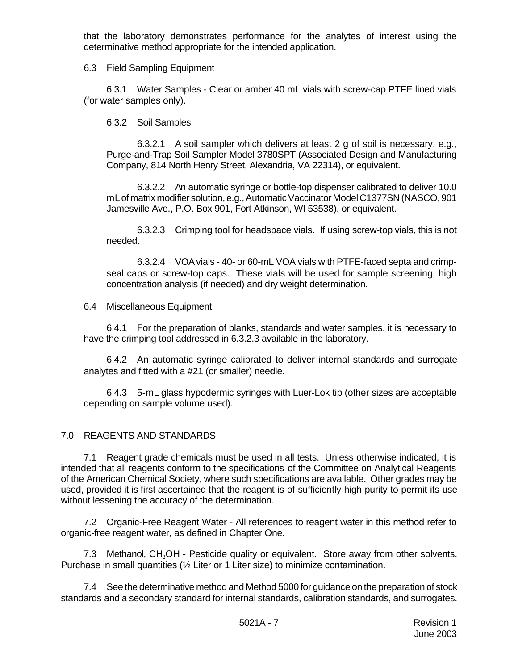that the laboratory demonstrates performance for the analytes of interest using the determinative method appropriate for the intended application.

6.3 Field Sampling Equipment

6.3.1 Water Samples - Clear or amber 40 mL vials with screw-cap PTFE lined vials (for water samples only).

6.3.2 Soil Samples

6.3.2.1 A soil sampler which delivers at least 2 g of soil is necessary, e.g., Purge-and-Trap Soil Sampler Model 3780SPT (Associated Design and Manufacturing Company, 814 North Henry Street, Alexandria, VA 22314), or equivalent.

6.3.2.2 An automatic syringe or bottle-top dispenser calibrated to deliver 10.0 mL of matrix modifier solution, e.g., Automatic Vaccinator Model C1377SN (NASCO, 901 Jamesville Ave., P.O. Box 901, Fort Atkinson, WI 53538), or equivalent.

6.3.2.3 Crimping tool for headspace vials. If using screw-top vials, this is not needed.

6.3.2.4 VOA vials - 40- or 60-mL VOA vials with PTFE-faced septa and crimpseal caps or screw-top caps. These vials will be used for sample screening, high concentration analysis (if needed) and dry weight determination.

6.4 Miscellaneous Equipment

6.4.1 For the preparation of blanks, standards and water samples, it is necessary to have the crimping tool addressed in 6.3.2.3 available in the laboratory.

6.4.2 An automatic syringe calibrated to deliver internal standards and surrogate analytes and fitted with a #21 (or smaller) needle.

6.4.3 5-mL glass hypodermic syringes with Luer-Lok tip (other sizes are acceptable depending on sample volume used).

## 7.0 REAGENTS AND STANDARDS

7.1 Reagent grade chemicals must be used in all tests. Unless otherwise indicated, it is intended that all reagents conform to the specifications of the Committee on Analytical Reagents of the American Chemical Society, where such specifications are available. Other grades may be used, provided it is first ascertained that the reagent is of sufficiently high purity to permit its use without lessening the accuracy of the determination.

7.2 Organic-Free Reagent Water - All references to reagent water in this method refer to organic-free reagent water, as defined in Chapter One.

7.3 Methanol, CH<sub>3</sub>OH - Pesticide quality or equivalent. Store away from other solvents. Purchase in small quantities (½ Liter or 1 Liter size) to minimize contamination.

7.4 See the determinative method and Method 5000 for guidance on the preparation of stock standards and a secondary standard for internal standards, calibration standards, and surrogates.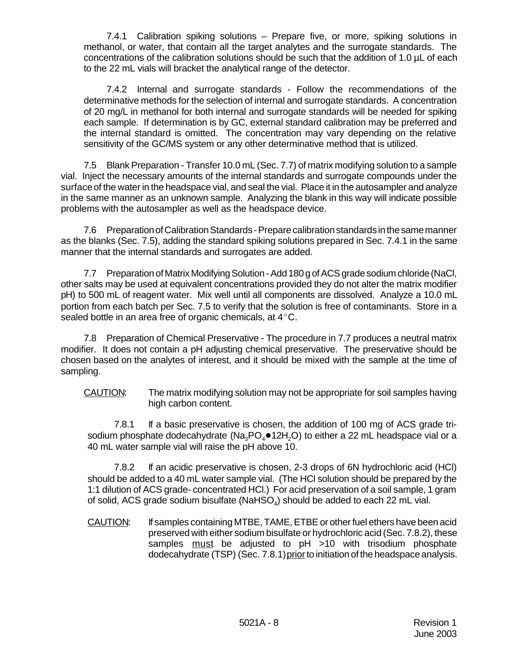7.4.1 Calibration spiking solutions – Prepare five, or more, spiking solutions in methanol, or water, that contain all the target analytes and the surrogate standards. The concentrations of the calibration solutions should be such that the addition of 1.0 µL of each to the 22 mL vials will bracket the analytical range of the detector.

7.4.2 Internal and surrogate standards - Follow the recommendations of the determinative methods for the selection of internal and surrogate standards. A concentration of 20 mg/L in methanol for both internal and surrogate standards will be needed for spiking each sample. If determination is by GC, external standard calibration may be preferred and the internal standard is omitted. The concentration may vary depending on the relative sensitivity of the GC/MS system or any other determinative method that is utilized.

7.5 Blank Preparation - Transfer 10.0 mL (Sec. 7.7) of matrix modifying solution to a sample vial. Inject the necessary amounts of the internal standards and surrogate compounds under the surface of the water in the headspace vial, and seal the vial. Place it in the autosampler and analyze in the same manner as an unknown sample. Analyzing the blank in this way will indicate possible problems with the autosampler as well as the headspace device.

7.6 Preparation of Calibration Standards - Prepare calibration standards in the same manner as the blanks (Sec. 7.5), adding the standard spiking solutions prepared in Sec. 7.4.1 in the same manner that the internal standards and surrogates are added.

7.7 Preparation of Matrix Modifying Solution - Add 180 g of ACS grade sodium chloride (NaCl, other salts may be used at equivalent concentrations provided they do not alter the matrix modifier pH) to 500 mL of reagent water. Mix well until all components are dissolved. Analyze a 10.0 mL portion from each batch per Sec. 7.5 to verify that the solution is free of contaminants. Store in a sealed bottle in an area free of organic chemicals, at  $4^{\circ}$ C.

7.8 Preparation of Chemical Preservative - The procedure in 7.7 produces a neutral matrix modifier. It does not contain a pH adjusting chemical preservative. The preservative should be chosen based on the analytes of interest, and it should be mixed with the sample at the time of sampling.

CAUTION: The matrix modifying solution may not be appropriate for soil samples having high carbon content.

7.8.1 If a basic preservative is chosen, the addition of 100 mg of ACS grade trisodium phosphate dodecahydrate  $(Na_3PO_4 \bullet 12H_2O)$  to either a 22 mL headspace vial or a 40 mL water sample vial will raise the pH above 10.

7.8.2 If an acidic preservative is chosen, 2-3 drops of 6N hydrochloric acid (HCl) should be added to a 40 mL water sample vial. (The HCl solution should be prepared by the 1:1 dilution of ACS grade- concentrated HCl.) For acid preservation of a soil sample, 1 gram of solid, ACS grade sodium bisulfate (NaHSO<sub>4</sub>) should be added to each 22 mL vial.

CAUTION: If samples containing MTBE, TAME, ETBE or other fuel ethers have been acid preserved with either sodium bisulfate or hydrochloric acid (Sec. 7.8.2), these samples must be adjusted to pH >10 with trisodium phosphate dodecahydrate (TSP) (Sec. 7.8.1) prior to initiation of the headspace analysis.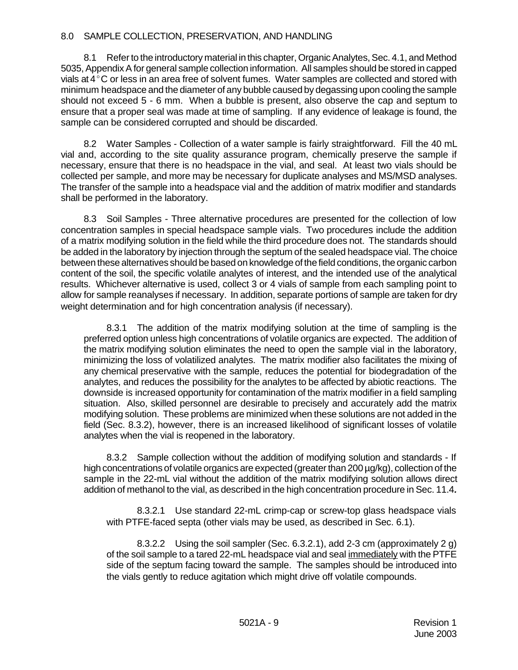#### 8.0 SAMPLE COLLECTION, PRESERVATION, AND HANDLING

8.1 Refer to the introductory material in this chapter, Organic Analytes, Sec. 4.1, and Method 5035, Appendix A for general sample collection information. All samples should be stored in capped vials at  $4^{\circ}$ C or less in an area free of solvent fumes. Water samples are collected and stored with minimum headspace and the diameter of any bubble caused by degassing upon cooling the sample should not exceed 5 - 6 mm. When a bubble is present, also observe the cap and septum to ensure that a proper seal was made at time of sampling. If any evidence of leakage is found, the sample can be considered corrupted and should be discarded.

8.2 Water Samples - Collection of a water sample is fairly straightforward. Fill the 40 mL vial and, according to the site quality assurance program, chemically preserve the sample if necessary, ensure that there is no headspace in the vial, and seal. At least two vials should be collected per sample, and more may be necessary for duplicate analyses and MS/MSD analyses. The transfer of the sample into a headspace vial and the addition of matrix modifier and standards shall be performed in the laboratory.

8.3 Soil Samples - Three alternative procedures are presented for the collection of low concentration samples in special headspace sample vials. Two procedures include the addition of a matrix modifying solution in the field while the third procedure does not. The standards should be added in the laboratory by injection through the septum of the sealed headspace vial. The choice between these alternatives should be based on knowledge of the field conditions, the organic carbon content of the soil, the specific volatile analytes of interest, and the intended use of the analytical results. Whichever alternative is used, collect 3 or 4 vials of sample from each sampling point to allow for sample reanalyses if necessary. In addition, separate portions of sample are taken for dry weight determination and for high concentration analysis (if necessary).

8.3.1 The addition of the matrix modifying solution at the time of sampling is the preferred option unless high concentrations of volatile organics are expected. The addition of the matrix modifying solution eliminates the need to open the sample vial in the laboratory, minimizing the loss of volatilized analytes. The matrix modifier also facilitates the mixing of any chemical preservative with the sample, reduces the potential for biodegradation of the analytes, and reduces the possibility for the analytes to be affected by abiotic reactions. The downside is increased opportunity for contamination of the matrix modifier in a field sampling situation. Also, skilled personnel are desirable to precisely and accurately add the matrix modifying solution. These problems are minimized when these solutions are not added in the field (Sec. 8.3.2), however, there is an increased likelihood of significant losses of volatile analytes when the vial is reopened in the laboratory.

8.3.2 Sample collection without the addition of modifying solution and standards - If high concentrations of volatile organics are expected (greater than 200  $\mu$ g/kg), collection of the sample in the 22-mL vial without the addition of the matrix modifying solution allows direct addition of methanol to the vial, as described in the high concentration procedure in Sec. 11.4*.*

8.3.2.1 Use standard 22-mL crimp-cap or screw-top glass headspace vials with PTFE-faced septa (other vials may be used, as described in Sec. 6.1).

8.3.2.2 Using the soil sampler (Sec. 6.3.2.1), add 2-3 cm (approximately 2 g) of the soil sample to a tared 22-mL headspace vial and seal immediately with the PTFE side of the septum facing toward the sample. The samples should be introduced into the vials gently to reduce agitation which might drive off volatile compounds.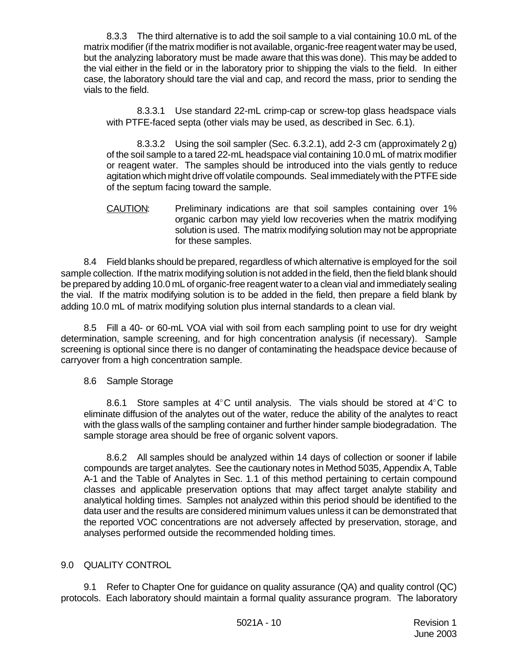8.3.3 The third alternative is to add the soil sample to a vial containing 10.0 mL of the matrix modifier (if the matrix modifier is not available, organic-free reagent water may be used, but the analyzing laboratory must be made aware that this was done). This may be added to the vial either in the field or in the laboratory prior to shipping the vials to the field. In either case, the laboratory should tare the vial and cap, and record the mass, prior to sending the vials to the field.

8.3.3.1 Use standard 22-mL crimp-cap or screw-top glass headspace vials with PTFE-faced septa (other vials may be used, as described in Sec. 6.1).

8.3.3.2 Using the soil sampler (Sec. 6.3.2.1), add 2-3 cm (approximately 2 g) of the soil sample to a tared 22-mL headspace vial containing 10.0 mL of matrix modifier or reagent water. The samples should be introduced into the vials gently to reduce agitation which might drive off volatile compounds. Seal immediately with the PTFE side of the septum facing toward the sample.

CAUTION: Preliminary indications are that soil samples containing over 1% organic carbon may yield low recoveries when the matrix modifying solution is used. The matrix modifying solution may not be appropriate for these samples.

8.4 Field blanks should be prepared, regardless of which alternative is employed for the soil sample collection. If the matrix modifying solution is not added in the field, then the field blank should be prepared by adding 10.0 mL of organic-free reagent water to a clean vial and immediately sealing the vial. If the matrix modifying solution is to be added in the field, then prepare a field blank by adding 10.0 mL of matrix modifying solution plus internal standards to a clean vial.

8.5 Fill a 40- or 60-mL VOA vial with soil from each sampling point to use for dry weight determination, sample screening, and for high concentration analysis (if necessary). Sample screening is optional since there is no danger of contaminating the headspace device because of carryover from a high concentration sample.

## 8.6 Sample Storage

8.6.1 Store samples at  $4^{\circ}$ C until analysis. The vials should be stored at  $4^{\circ}$ C to eliminate diffusion of the analytes out of the water, reduce the ability of the analytes to react with the glass walls of the sampling container and further hinder sample biodegradation. The sample storage area should be free of organic solvent vapors.

8.6.2 All samples should be analyzed within 14 days of collection or sooner if labile compounds are target analytes. See the cautionary notes in Method 5035, Appendix A, Table A-1 and the Table of Analytes in Sec. 1.1 of this method pertaining to certain compound classes and applicable preservation options that may affect target analyte stability and analytical holding times. Samples not analyzed within this period should be identified to the data user and the results are considered minimum values unless it can be demonstrated that the reported VOC concentrations are not adversely affected by preservation, storage, and analyses performed outside the recommended holding times.

## 9.0 QUALITY CONTROL

9.1 Refer to Chapter One for guidance on quality assurance (QA) and quality control (QC) protocols. Each laboratory should maintain a formal quality assurance program. The laboratory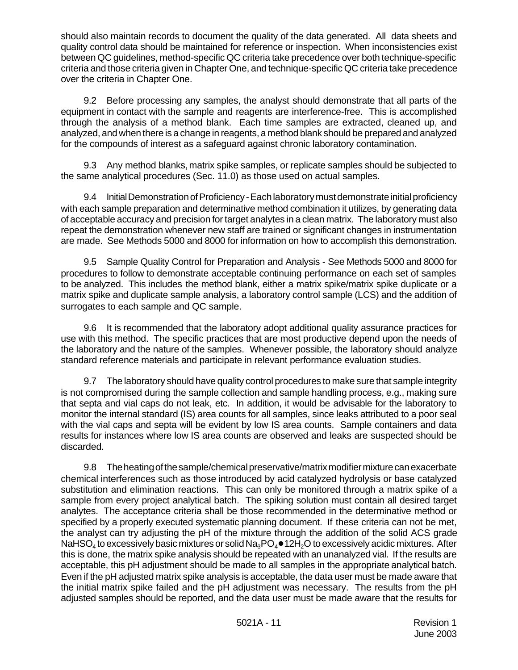should also maintain records to document the quality of the data generated. All data sheets and quality control data should be maintained for reference or inspection. When inconsistencies exist between QC guidelines, method-specific QC criteria take precedence over both technique-specific criteria and those criteria given in Chapter One, and technique-specific QC criteria take precedence over the criteria in Chapter One.

9.2 Before processing any samples, the analyst should demonstrate that all parts of the equipment in contact with the sample and reagents are interference-free. This is accomplished through the analysis of a method blank. Each time samples are extracted, cleaned up, and analyzed, and when there is a change in reagents, a method blank should be prepared and analyzed for the compounds of interest as a safeguard against chronic laboratory contamination.

9.3 Any method blanks, matrix spike samples, or replicate samples should be subjected to the same analytical procedures (Sec. 11.0) as those used on actual samples.

9.4 Initial Demonstration of Proficiency - Each laboratory must demonstrate initial proficiency with each sample preparation and determinative method combination it utilizes, by generating data of acceptable accuracy and precision for target analytes in a clean matrix. The laboratory must also repeat the demonstration whenever new staff are trained or significant changes in instrumentation are made. See Methods 5000 and 8000 for information on how to accomplish this demonstration.

9.5 Sample Quality Control for Preparation and Analysis - See Methods 5000 and 8000 for procedures to follow to demonstrate acceptable continuing performance on each set of samples to be analyzed. This includes the method blank, either a matrix spike/matrix spike duplicate or a matrix spike and duplicate sample analysis, a laboratory control sample (LCS) and the addition of surrogates to each sample and QC sample.

9.6 It is recommended that the laboratory adopt additional quality assurance practices for use with this method. The specific practices that are most productive depend upon the needs of the laboratory and the nature of the samples. Whenever possible, the laboratory should analyze standard reference materials and participate in relevant performance evaluation studies.

9.7 The laboratory should have quality control procedures to make sure that sample integrity is not compromised during the sample collection and sample handling process, e.g., making sure that septa and vial caps do not leak, etc. In addition, it would be advisable for the laboratory to monitor the internal standard (IS) area counts for all samples, since leaks attributed to a poor seal with the vial caps and septa will be evident by low IS area counts. Sample containers and data results for instances where low IS area counts are observed and leaks are suspected should be discarded.

9.8 The heating of the sample/chemical preservative/matrix modifier mixture can exacerbate chemical interferences such as those introduced by acid catalyzed hydrolysis or base catalyzed substitution and elimination reactions. This can only be monitored through a matrix spike of a sample from every project analytical batch. The spiking solution must contain all desired target analytes. The acceptance criteria shall be those recommended in the determinative method or specified by a properly executed systematic planning document. If these criteria can not be met, the analyst can try adjusting the pH of the mixture through the addition of the solid ACS grade NaHSO $_4$  to excessively basic mixtures or solid Na $_3$ PO $_4$  $\bullet$  12H $_2$ O to excessively acidic mixtures. After this is done, the matrix spike analysis should be repeated with an unanalyzed vial. If the results are acceptable, this pH adjustment should be made to all samples in the appropriate analytical batch. Even if the pH adjusted matrix spike analysis is acceptable, the data user must be made aware that the initial matrix spike failed and the pH adjustment was necessary. The results from the pH adjusted samples should be reported, and the data user must be made aware that the results for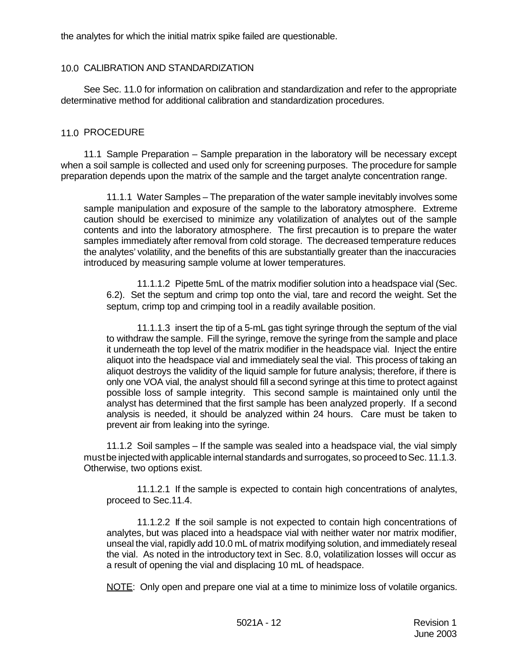the analytes for which the initial matrix spike failed are questionable.

#### 10.0 CALIBRATION AND STANDARDIZATION

See Sec. 11.0 for information on calibration and standardization and refer to the appropriate determinative method for additional calibration and standardization procedures.

#### 11.0 PROCEDURE

11.1 Sample Preparation – Sample preparation in the laboratory will be necessary except when a soil sample is collected and used only for screening purposes. The procedure for sample preparation depends upon the matrix of the sample and the target analyte concentration range.

11.1.1 Water Samples – The preparation of the water sample inevitably involves some sample manipulation and exposure of the sample to the laboratory atmosphere. Extreme caution should be exercised to minimize any volatilization of analytes out of the sample contents and into the laboratory atmosphere. The first precaution is to prepare the water samples immediately after removal from cold storage. The decreased temperature reduces the analytes' volatility, and the benefits of this are substantially greater than the inaccuracies introduced by measuring sample volume at lower temperatures.

11.1.1.2 Pipette 5mL of the matrix modifier solution into a headspace vial (Sec. 6.2). Set the septum and crimp top onto the vial, tare and record the weight. Set the septum, crimp top and crimping tool in a readily available position.

11.1.1.3 insert the tip of a 5-mL gas tight syringe through the septum of the vial to withdraw the sample. Fill the syringe, remove the syringe from the sample and place it underneath the top level of the matrix modifier in the headspace vial. Inject the entire aliquot into the headspace vial and immediately seal the vial. This process of taking an aliquot destroys the validity of the liquid sample for future analysis; therefore, if there is only one VOA vial, the analyst should fill a second syringe at this time to protect against possible loss of sample integrity. This second sample is maintained only until the analyst has determined that the first sample has been analyzed properly. If a second analysis is needed, it should be analyzed within 24 hours. Care must be taken to prevent air from leaking into the syringe.

11.1.2 Soil samples – If the sample was sealed into a headspace vial, the vial simply must be injected with applicable internal standards and surrogates, so proceed to Sec. 11.1.3. Otherwise, two options exist.

11.1.2.1 If the sample is expected to contain high concentrations of analytes, proceed to Sec.11.4.

11.1.2.2 If the soil sample is not expected to contain high concentrations of analytes, but was placed into a headspace vial with neither water nor matrix modifier, unseal the vial, rapidly add 10.0 mL of matrix modifying solution, and immediately reseal the vial. As noted in the introductory text in Sec. 8.0, volatilization losses will occur as a result of opening the vial and displacing 10 mL of headspace.

NOTE: Only open and prepare one vial at a time to minimize loss of volatile organics.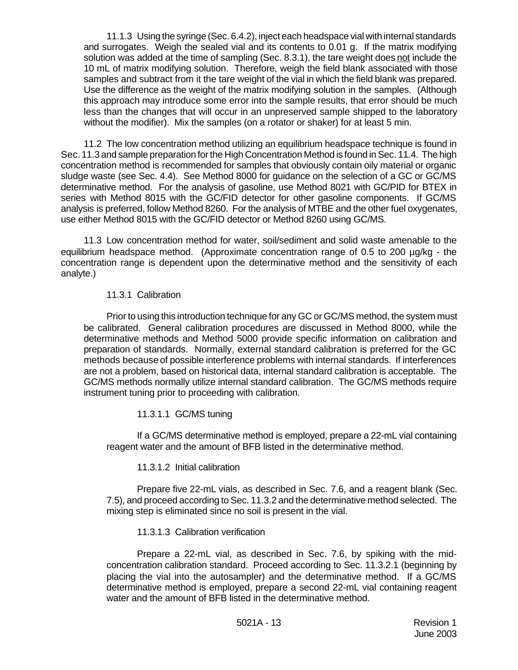11.1.3 Using the syringe (Sec. 6.4.2), inject each headspace vial with internal standards and surrogates. Weigh the sealed vial and its contents to 0.01 g. If the matrix modifying solution was added at the time of sampling (Sec. 8.3.1), the tare weight does not include the 10 mL of matrix modifying solution. Therefore, weigh the field blank associated with those samples and subtract from it the tare weight of the vial in which the field blank was prepared. Use the difference as the weight of the matrix modifying solution in the samples. (Although this approach may introduce some error into the sample results, that error should be much less than the changes that will occur in an unpreserved sample shipped to the laboratory without the modifier). Mix the samples (on a rotator or shaker) for at least 5 min.

11.2 The low concentration method utilizing an equilibrium headspace technique is found in Sec. 11.3 and sample preparation for the High Concentration Method is found in Sec. 11.4. The high concentration method is recommended for samples that obviously contain oily material or organic sludge waste (see Sec. 4.4). See Method 8000 for guidance on the selection of a GC or GC/MS determinative method. For the analysis of gasoline, use Method 8021 with GC/PID for BTEX in series with Method 8015 with the GC/FID detector for other gasoline components. If GC/MS analysis is preferred, follow Method 8260. For the analysis of MTBE and the other fuel oxygenates, use either Method 8015 with the GC/FID detector or Method 8260 using GC/MS.

11.3 Low concentration method for water, soil/sediment and solid waste amenable to the equilibrium headspace method. (Approximate concentration range of 0.5 to 200 µg/kg - the concentration range is dependent upon the determinative method and the sensitivity of each analyte.)

#### 11.3.1 Calibration

Prior to using this introduction technique for any GC or GC/MS method, the system must be calibrated. General calibration procedures are discussed in Method 8000, while the determinative methods and Method 5000 provide specific information on calibration and preparation of standards. Normally, external standard calibration is preferred for the GC methods because of possible interference problems with internal standards. If interferences are not a problem, based on historical data, internal standard calibration is acceptable. The GC/MS methods normally utilize internal standard calibration. The GC/MS methods require instrument tuning prior to proceeding with calibration.

11.3.1.1 GC/MS tuning

If a GC/MS determinative method is employed, prepare a 22-mL vial containing reagent water and the amount of BFB listed in the determinative method.

11.3.1.2 Initial calibration

Prepare five 22-mL vials, as described in Sec. 7.6, and a reagent blank (Sec. 7.5), and proceed according to Sec. 11.3.2 and the determinative method selected. The mixing step is eliminated since no soil is present in the vial.

11.3.1.3 Calibration verification

Prepare a 22-mL vial, as described in Sec. 7.6, by spiking with the midconcentration calibration standard. Proceed according to Sec. 11.3.2.1 (beginning by placing the vial into the autosampler) and the determinative method. If a GC/MS determinative method is employed, prepare a second 22-mL vial containing reagent water and the amount of BFB listed in the determinative method.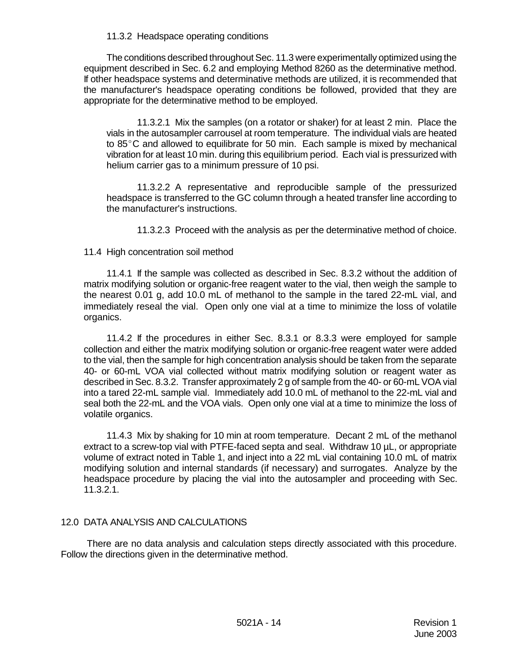#### 11.3.2 Headspace operating conditions

The conditions described throughout Sec. 11.3 were experimentally optimized using the equipment described in Sec. 6.2 and employing Method 8260 as the determinative method. If other headspace systems and determinative methods are utilized, it is recommended that the manufacturer's headspace operating conditions be followed, provided that they are appropriate for the determinative method to be employed.

11.3.2.1 Mix the samples (on a rotator or shaker) for at least 2 min. Place the vials in the autosampler carrousel at room temperature. The individual vials are heated to  $85^{\circ}$ C and allowed to equilibrate for 50 min. Each sample is mixed by mechanical vibration for at least 10 min. during this equilibrium period. Each vial is pressurized with helium carrier gas to a minimum pressure of 10 psi.

11.3.2.2 A representative and reproducible sample of the pressurized headspace is transferred to the GC column through a heated transfer line according to the manufacturer's instructions.

11.3.2.3 Proceed with the analysis as per the determinative method of choice.

#### 11.4 High concentration soil method

11.4.1 If the sample was collected as described in Sec. 8.3.2 without the addition of matrix modifying solution or organic-free reagent water to the vial, then weigh the sample to the nearest 0.01 g, add 10.0 mL of methanol to the sample in the tared 22-mL vial, and immediately reseal the vial. Open only one vial at a time to minimize the loss of volatile organics.

11.4.2 If the procedures in either Sec. 8.3.1 or 8.3.3 were employed for sample collection and either the matrix modifying solution or organic-free reagent water were added to the vial, then the sample for high concentration analysis should be taken from the separate 40- or 60-mL VOA vial collected without matrix modifying solution or reagent water as described in Sec. 8.3.2. Transfer approximately 2 g of sample from the 40- or 60-mL VOA vial into a tared 22-mL sample vial. Immediately add 10.0 mL of methanol to the 22-mL vial and seal both the 22-mL and the VOA vials. Open only one vial at a time to minimize the loss of volatile organics.

11.4.3 Mix by shaking for 10 min at room temperature. Decant 2 mL of the methanol extract to a screw-top vial with PTFE-faced septa and seal. Withdraw 10 µL, or appropriate volume of extract noted in Table 1, and inject into a 22 mL vial containing 10.0 mL of matrix modifying solution and internal standards (if necessary) and surrogates. Analyze by the headspace procedure by placing the vial into the autosampler and proceeding with Sec. 11.3.2.1.

#### 12.0 DATA ANALYSIS AND CALCULATIONS

 There are no data analysis and calculation steps directly associated with this procedure. Follow the directions given in the determinative method.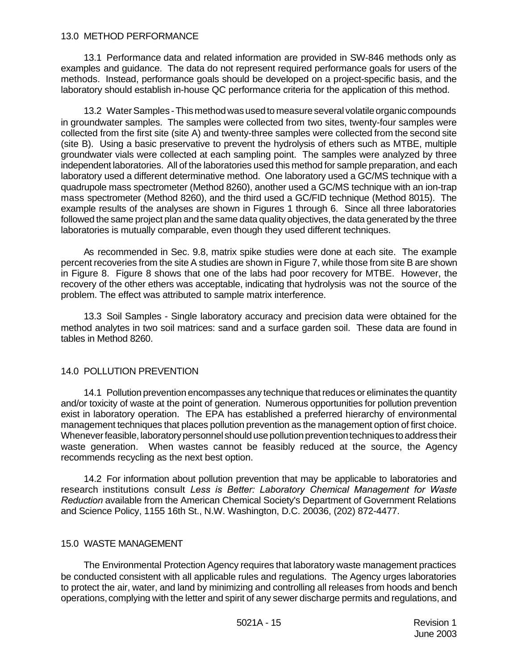#### 13.0 METHOD PERFORMANCE

13.1 Performance data and related information are provided in SW-846 methods only as examples and guidance. The data do not represent required performance goals for users of the methods. Instead, performance goals should be developed on a project-specific basis, and the laboratory should establish in-house QC performance criteria for the application of this method.

13.2 Water Samples - This method was used to measure several volatile organic compounds in groundwater samples. The samples were collected from two sites, twenty-four samples were collected from the first site (site A) and twenty-three samples were collected from the second site (site B). Using a basic preservative to prevent the hydrolysis of ethers such as MTBE, multiple groundwater vials were collected at each sampling point. The samples were analyzed by three independent laboratories. All of the laboratories used this method for sample preparation, and each laboratory used a different determinative method. One laboratory used a GC/MS technique with a quadrupole mass spectrometer (Method 8260), another used a GC/MS technique with an ion-trap mass spectrometer (Method 8260), and the third used a GC/FID technique (Method 8015). The example results of the analyses are shown in Figures 1 through 6. Since all three laboratories followed the same project plan and the same data quality objectives, the data generated by the three laboratories is mutually comparable, even though they used different techniques.

As recommended in Sec. 9.8, matrix spike studies were done at each site. The example percent recoveries from the site A studies are shown in Figure 7, while those from site B are shown in Figure 8. Figure 8 shows that one of the labs had poor recovery for MTBE. However, the recovery of the other ethers was acceptable, indicating that hydrolysis was not the source of the problem. The effect was attributed to sample matrix interference.

13.3 Soil Samples - Single laboratory accuracy and precision data were obtained for the method analytes in two soil matrices: sand and a surface garden soil. These data are found in tables in Method 8260.

#### 14.0 POLLUTION PREVENTION

14.1 Pollution prevention encompasses any technique that reduces or eliminates the quantity and/or toxicity of waste at the point of generation. Numerous opportunities for pollution prevention exist in laboratory operation. The EPA has established a preferred hierarchy of environmental management techniques that places pollution prevention as the management option of first choice. Whenever feasible, laboratory personnel should use pollution prevention techniques to address their waste generation. When wastes cannot be feasibly reduced at the source, the Agency recommends recycling as the next best option.

14.2 For information about pollution prevention that may be applicable to laboratories and research institutions consult *Less is Better: Laboratory Chemical Management for Waste Reduction* available from the American Chemical Society's Department of Government Relations and Science Policy, 1155 16th St., N.W. Washington, D.C. 20036, (202) 872-4477.

#### 15.0 WASTE MANAGEMENT

The Environmental Protection Agency requires that laboratory waste management practices be conducted consistent with all applicable rules and regulations. The Agency urges laboratories to protect the air, water, and land by minimizing and controlling all releases from hoods and bench operations, complying with the letter and spirit of any sewer discharge permits and regulations, and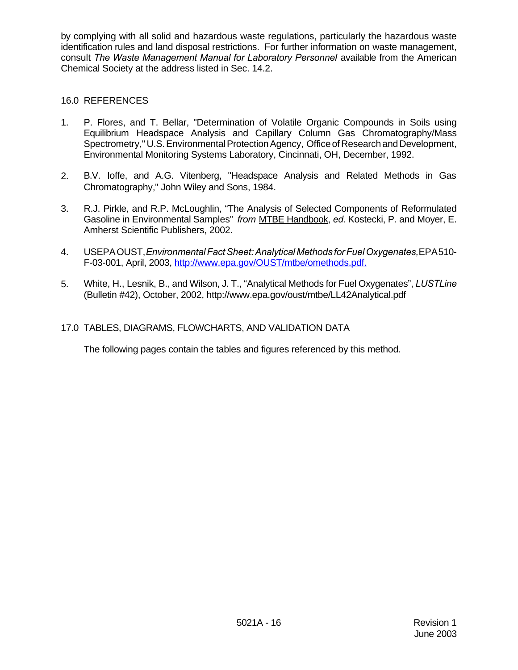by complying with all solid and hazardous waste regulations, particularly the hazardous waste identification rules and land disposal restrictions. For further information on waste management, consult *The Waste Management Manual for Laboratory Personnel* available from the American Chemical Society at the address listed in Sec. 14.2.

# 16.0 REFERENCES

- 1. P. Flores, and T. Bellar, "Determination of Volatile Organic Compounds in Soils using Equilibrium Headspace Analysis and Capillary Column Gas Chromatography/Mass Spectrometry," U.S. Environmental Protection Agency, Office of Research and Development, Environmental Monitoring Systems Laboratory, Cincinnati, OH, December, 1992.
- 2. B.V. Ioffe, and A.G. Vitenberg, "Headspace Analysis and Related Methods in Gas Chromatography," John Wiley and Sons, 1984.
- 3. R.J. Pirkle, and R.P. McLoughlin, "The Analysis of Selected Components of Reformulated Gasoline in Environmental Samples" *from* MTBE Handbook, *ed*. Kostecki, P. and Moyer, E. Amherst Scientific Publishers, 2002.
- 4. USEPA OUST, *Environmental Fact Sheet: Analytical Methods for Fuel Oxygenates,* EPA 510- F-03-001, April, 2003, http://www.epa.gov/OUST/mtbe/omethods.pdf.
- 5. White, H., Lesnik, B., and Wilson, J. T., "Analytical Methods for Fuel Oxygenates", *LUSTLine* (Bulletin #42), October, 2002, http://www.epa.gov/oust/mtbe/LL42Analytical.pdf

## 17.0 TABLES, DIAGRAMS, FLOWCHARTS, AND VALIDATION DATA

The following pages contain the tables and figures referenced by this method.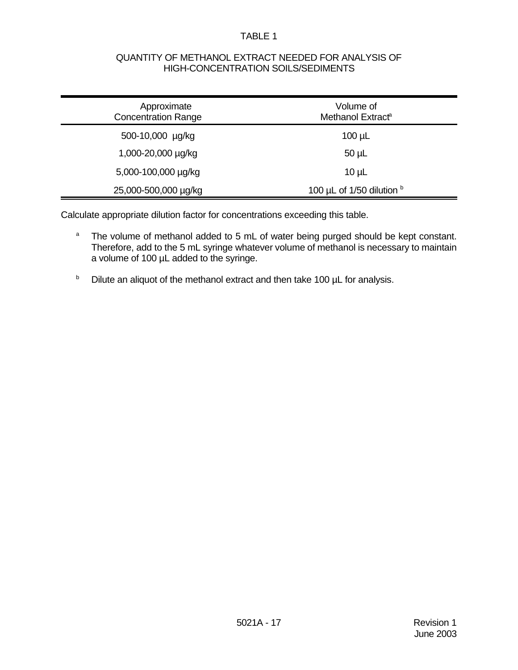#### TABLE 1

#### QUANTITY OF METHANOL EXTRACT NEEDED FOR ANALYSIS OF HIGH-CONCENTRATION SOILS/SEDIMENTS

| Approximate<br><b>Concentration Range</b> | Volume of<br>Methanol Extract <sup>a</sup> |  |
|-------------------------------------------|--------------------------------------------|--|
| 500-10,000 µg/kg                          | $100 \mu L$                                |  |
| 1,000-20,000 µg/kg                        | $50 \mu L$                                 |  |
| 5,000-100,000 µg/kg                       | $10 \mu L$                                 |  |
| 25,000-500,000 µg/kg                      | 100 $\mu$ L of 1/50 dilution $\frac{b}{c}$ |  |

Calculate appropriate dilution factor for concentrations exceeding this table.

- <sup>a</sup> The volume of methanol added to 5 mL of water being purged should be kept constant. Therefore, add to the 5 mL syringe whatever volume of methanol is necessary to maintain a volume of 100 µL added to the syringe.
- $b$  Dilute an aliquot of the methanol extract and then take 100  $\mu$ L for analysis.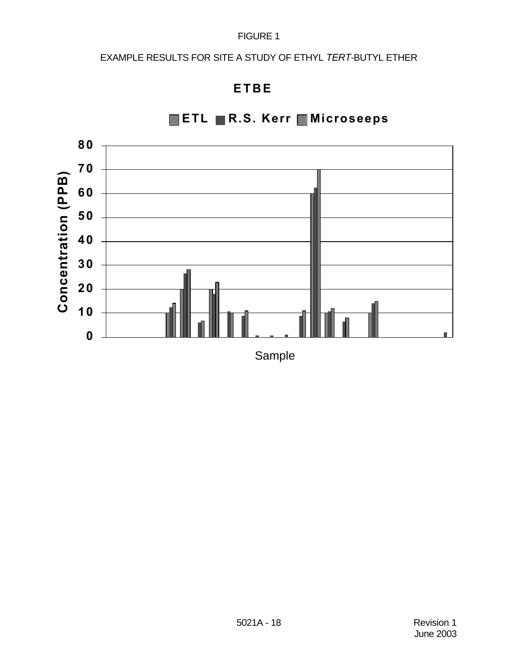# EXAMPLE RESULTS FOR SITE A STUDY OF ETHYL *TERT*-BUTYL ETHER

# **ETBE**



**ETL R.S. Kerr Microseeps**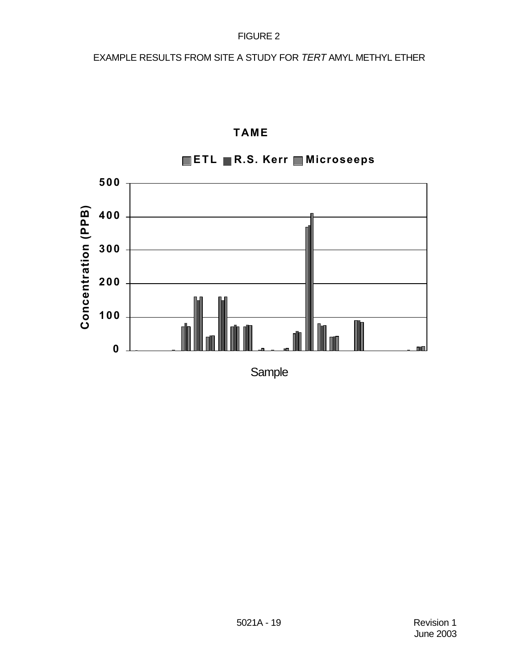EXAMPLE RESULTS FROM SITE A STUDY FOR *TERT* AMYL METHYL ETHER



# **TAME**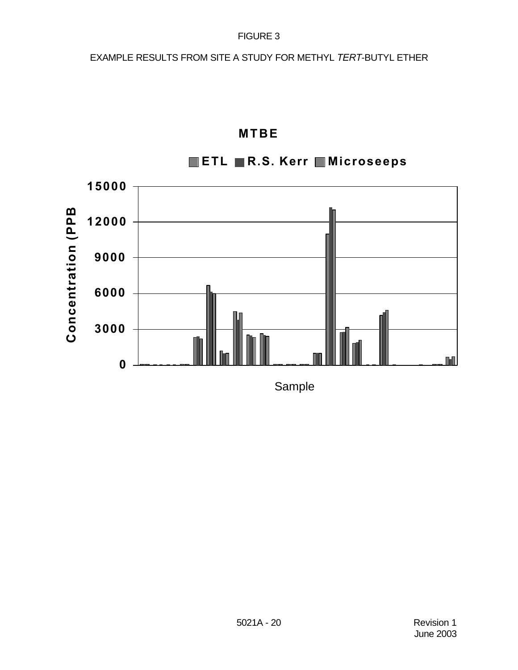EXAMPLE RESULTS FROM SITE A STUDY FOR METHYL *TERT*-BUTYL ETHER



# **MTBE**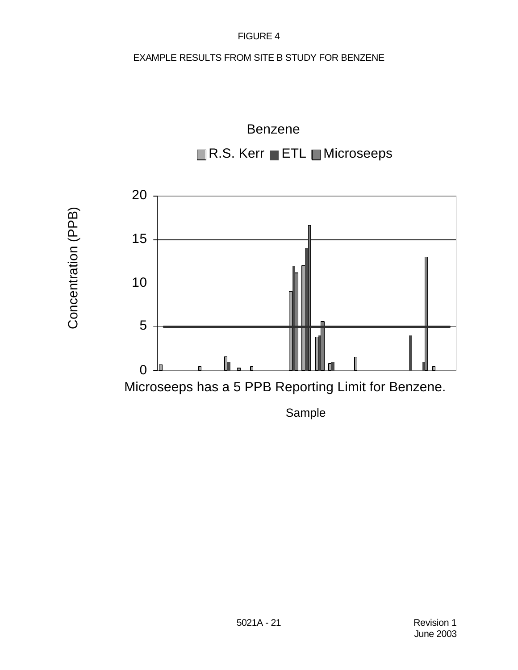# EXAMPLE RESULTS FROM SITE B STUDY FOR BENZENE



Concentration (PPB) Concentration (PPB)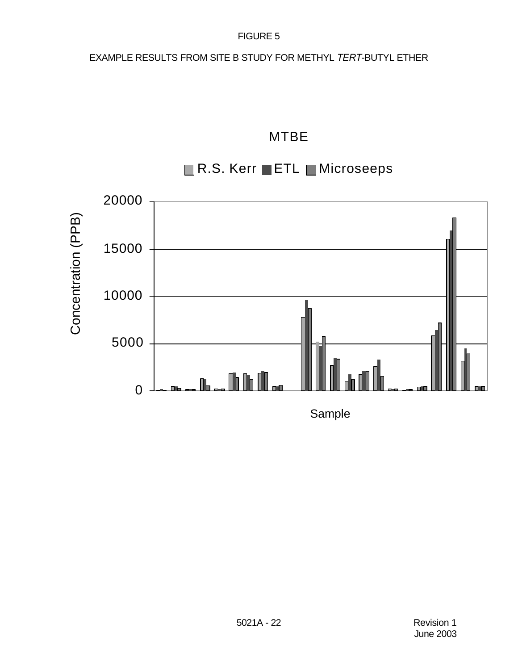# EXAMPLE RESULTS FROM SITE B STUDY FOR METHYL *TERT*-BUTYL ETHER

# MTBE

# R.S. Kerr ETL Microseeps

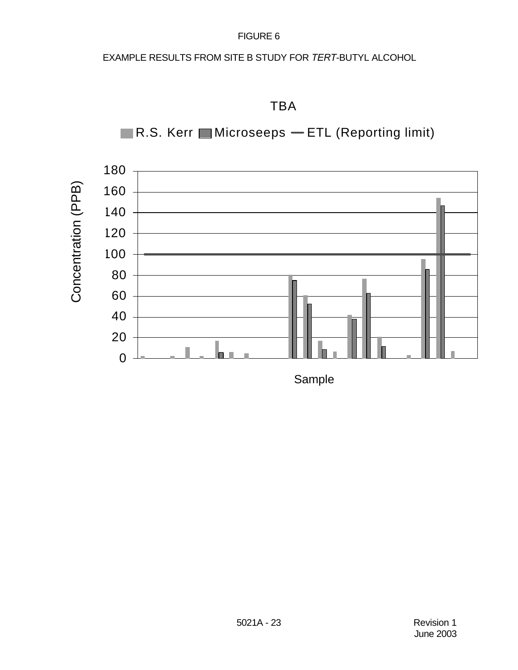# EXAMPLE RESULTS FROM SITE B STUDY FOR *TERT*-BUTYL ALCOHOL







Sample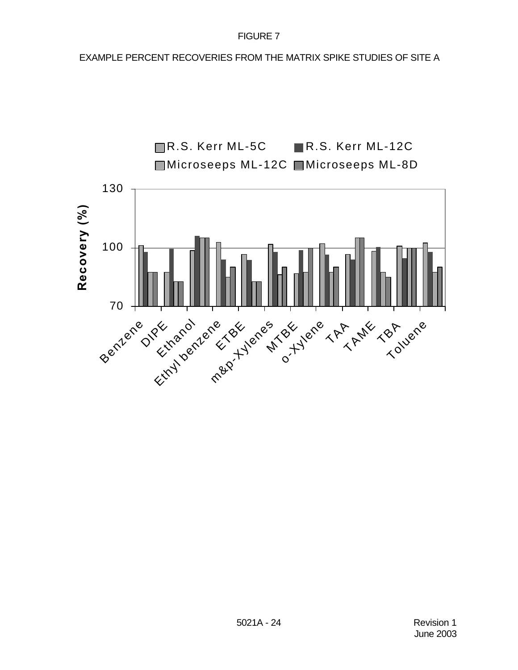EXAMPLE PERCENT RECOVERIES FROM THE MATRIX SPIKE STUDIES OF SITE A